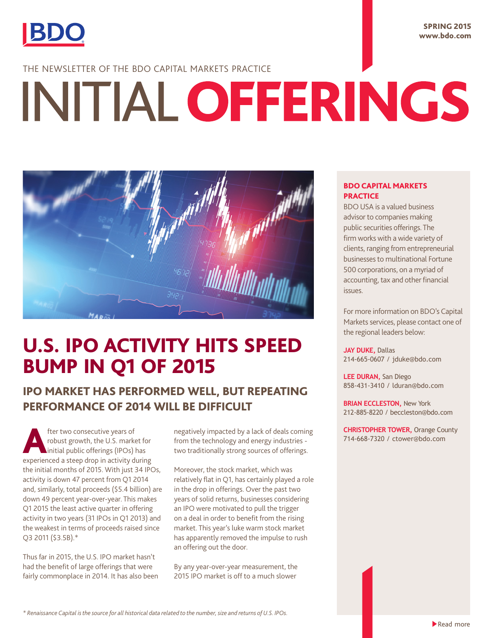

### SPRING 2015 www.bdo.com

# THE NEWSLETTER OF THE BDO CAPITAL MARKETS PRACTICE

# INITIAL OFFERINGS



# U.S. IPO ACTIVITY HITS SPEED BUMP IN Q1 OF 2015

# IPO MARKET HAS PERFORMED WELL, BUT REPEATING PERFORMANCE OF 2014 WILL BE DIFFICULT

fter two consecutive years of<br>robust growth, the U.S. marks<br>initial public offerings (IPOs) robust growth, the U.S. market for initial public offerings (IPOs) has experienced a steep drop in activity during the initial months of 2015. With just 34 IPOs, activity is down 47 percent from Q1 2014 and, similarly, total proceeds (\$5.4 billion) are down 49 percent year-over-year. This makes Q1 2015 the least active quarter in offering activity in two years (31 IPOs in Q1 2013) and the weakest in terms of proceeds raised since Q3 2011 (\$3.5B).\*

Thus far in 2015, the U.S. IPO market hasn't had the benefit of large offerings that were fairly commonplace in 2014. It has also been negatively impacted by a lack of deals coming from the technology and energy industries two traditionally strong sources of offerings.

Moreover, the stock market, which was relatively flat in Q1, has certainly played a role in the drop in offerings. Over the past two years of solid returns, businesses considering an IPO were motivated to pull the trigger on a deal in order to benefit from the rising market. This year's luke warm stock market has apparently removed the impulse to rush an offering out the door.

By any year-over-year measurement, the 2015 IPO market is off to a much slower

## BDO CAPITAL MARKETS **PRACTICE**

BDO USA is a valued business advisor to companies making public securities offerings. The firm works with a wide variety of clients, ranging from entrepreneurial businesses to multinational Fortune 500 corporations, on a myriad of accounting, tax and other financial issues.

For more information on BDO's Capital Markets services, please contact one of the regional leaders below:

**JAY DUKE,** Dallas 214-665-0607 / jduke@bdo.com

**LEE DURAN,** San Diego 858-431-3410 / lduran@bdo.com

**BRIAN ECCLESTON,** New York 212-885-8220 / beccleston@bdo.com

**CHRISTOPHER TOWER,** Orange County 714-668-7320 / ctower@bdo.com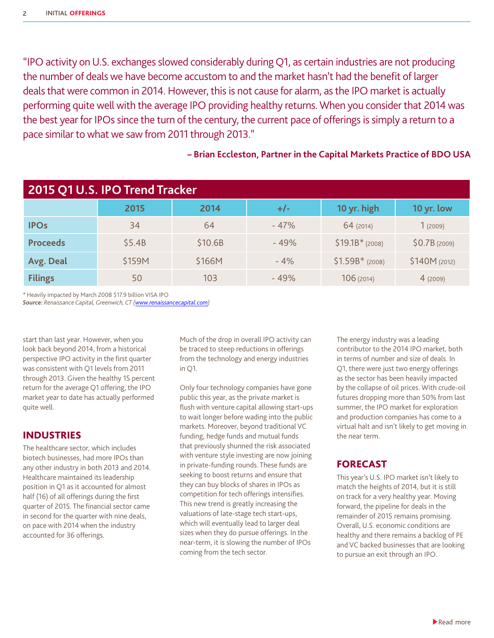"IPO activity on U.S. exchanges slowed considerably during Q1, as certain industries are not producing the number of deals we have become accustom to and the market hasn't had the benefit of larger deals that were common in 2014. However, this is not cause for alarm, as the IPO market is actually performing quite well with the average IPO providing healthy returns. When you consider that 2014 was the best year for IPOs since the turn of the century, the current pace of offerings is simply a return to a pace similar to what we saw from 2011 through 2013."

# **– Brian Eccleston, Partner in the Capital Markets Practice of BDO USA**

| 2015 Q1 U.S. IPO Trend Tracker |        |         |        |                  |               |  |
|--------------------------------|--------|---------|--------|------------------|---------------|--|
|                                | 2015   | 2014    | $+/-$  | 10 yr. high      | 10 yr. low    |  |
| <b>IPOs</b>                    | 34     | 64      | $-47%$ | 64 (2014)        | 1(2009)       |  |
| <b>Proceeds</b>                | \$5.4B | \$10.6B | $-49%$ | $$19.1B*$ (2008) | \$0.7B(2009)  |  |
| Avg. Deal                      | \$159M | \$166M  | $-4%$  | $$1.59B*$ (2008) | \$140M (2012) |  |
| <b>Filings</b>                 | 50     | 103     | $-49%$ | 106(2014)        | 4(2009)       |  |

\*Heavily impacted by March 2008 \$17.9 billion VISA IPO

*Source: Renaissance Capital, Greenwich, CT (<www.renaissancecapital.com>)*

start than last year. However, when you look back beyond 2014, from a historical perspective IPO activity in the first quarter was consistent with Q1 levels from 2011 through 2013. Given the healthy 15 percent return for the average Q1 offering, the IPO market year to date has actually performed quite well.

# INDUSTRIES

The healthcare sector, which includes biotech businesses, had more IPOs than any other industry in both 2013 and 2014. Healthcare maintained its leadership position in Q1 as it accounted for almost half (16) of all offerings during the first quarter of 2015. The financial sector came in second for the quarter with nine deals, on pace with 2014 when the industry accounted for 36 offerings.

Much of the drop in overall IPO activity can be traced to steep reductions in offerings from the technology and energy industries in Q1.

Only four technology companies have gone public this year, as the private market is flush with venture capital allowing start-ups to wait longer before wading into the public markets. Moreover, beyond traditional VC funding, hedge funds and mutual funds that previously shunned the risk associated with venture style investing are now joining in private-funding rounds. These funds are seeking to boost returns and ensure that they can buy blocks of shares in IPOs as competition for tech offerings intensifies. This new trend is greatly increasing the valuations of late-stage tech start-ups, which will eventually lead to larger deal sizes when they do pursue offerings. In the near-term, it is slowing the number of IPOs coming from the tech sector.

The energy industry was a leading contributor to the 2014 IPO market, both in terms of number and size of deals. In Q1, there were just two energy offerings as the sector has been heavily impacted by the collapse of oil prices. With crude-oil futures dropping more than 50% from last summer, the IPO market for exploration and production companies has come to a virtual halt and isn't likely to get moving in the near term.

# FORECAST

This year's U.S. IPO market isn't likely to match the heights of 2014, but it is still on track for a very healthy year. Moving forward, the pipeline for deals in the remainder of 2015 remains promising. Overall, U.S. economic conditions are healthy and there remains a backlog of PE and VC backed businesses that are looking to pursue an exit through an IPO.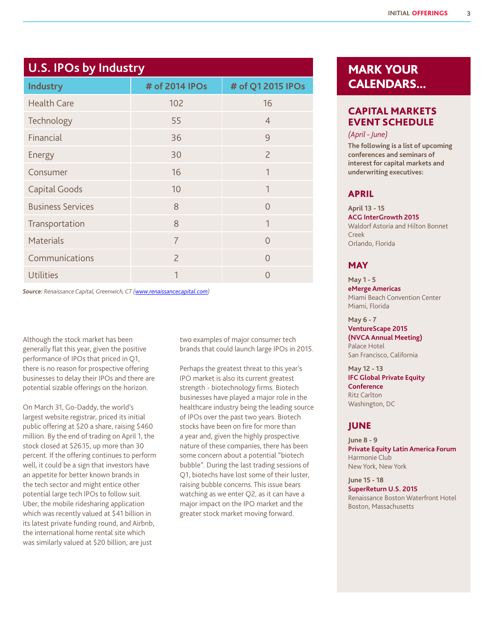# **U.S. IPOs by Industry**

| ◢<br><b>Industry</b>     | ◢<br># of 2014 IPOs | # of Q1 2015 IPOs |
|--------------------------|---------------------|-------------------|
| <b>Health Care</b>       | 102                 | 16                |
| Technology               | 55                  | $\overline{4}$    |
| Financial                | 36                  | 9                 |
| Energy                   | 30                  | $\overline{2}$    |
| Consumer                 | 16                  | 1                 |
| <b>Capital Goods</b>     | 10                  | 1                 |
| <b>Business Services</b> | 8                   | $\Omega$          |
| Transportation           | 8                   | 1                 |
| <b>Materials</b>         | $\overline{7}$      | $\Omega$          |
| Communications           | $\overline{2}$      | $\Omega$          |
| <b>Utilities</b>         | 1                   | $\Omega$          |

*Source: Renaissance Capital, Greenwich, CT (<www.renaissancecapital.com>)*

Although the stock market has been generally flat this year, given the positive performance of IPOs that priced in Q1, there is no reason for prospective offering businesses to delay their IPOs and there are potential sizable offerings on the horizon.

On March 31, Go-Daddy, the world's largest website registrar, priced its initial public offering at \$20 a share, raising \$460 million. By the end of trading on April 1, the stock closed at \$26.15, up more than 30 percent. If the offering continues to perform well, it could be a sign that investors have an appetite for better known brands in the tech sector and might entice other potential large tech IPOs to follow suit. Uber, the mobile ridesharing application which was recently valued at \$41 billion in its latest private funding round, and Airbnb, the international home rental site which was similarly valued at \$20 billion, are just

two examples of major consumer tech brands that could launch large IPOs in 2015.

Perhaps the greatest threat to this year's IPO market is also its current greatest strength - biotechnology firms. Biotech businesses have played a major role in the healthcare industry being the leading source of IPOs over the past two years. Biotech stocks have been on fire for more than a year and, given the highly prospective nature of these companies, there has been some concern about a potential "biotech bubble". During the last trading sessions of Q1, biotechs have lost some of their luster, raising bubble concerns. This issue bears watching as we enter Q2, as it can have a major impact on the IPO market and the greater stock market moving forward.

# MARK YOUR CALENDARS...

# CAPITAL MARKETS EVENT SCHEDULE

### *(April - June)*

**The following is a list of upcoming conferences and seminars of interest for capital markets and underwriting executives:**

# APRIL

### **April 13 - 15 ACG InterGrowth 2015** Waldorf Astoria and Hilton Bonnet Creek Orlando, Florida

# **MAY**

**May 1 - 5 eMerge Americas** Miami Beach Convention Center Miami, Florida

### **May 6 - 7**

**VentureScape 2015 (NVCA Annual Meeting)** Palace Hotel

San Francisco, California **May 12 - 13 IFC Global Private Equity** 

**Conference** Ritz Carlton Washington, DC

### JUNE

**June 8 - 9 Private Equity Latin America Forum** Harmonie Club New York, New York

**June 15 - 18 SuperReturn U.S. 2015** Renaissance Boston Waterfront Hotel Boston, Massachusetts